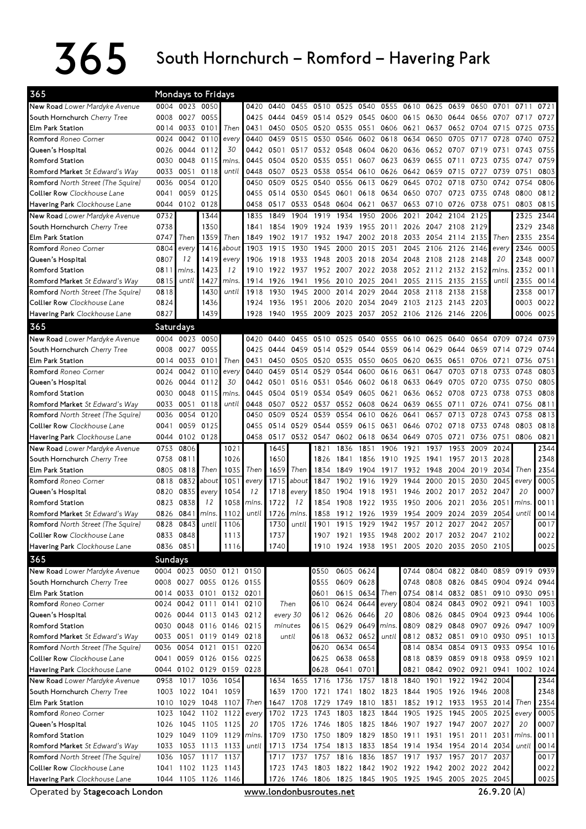## $365$  South Hornchurch – Romford – Havering Park

| 0004 0023 0050<br>New Road Lower Mardyke Avenue<br>0420 0440 0455 0510 0525 0540 0555 0610 0625 0639 0650<br>0701 0711<br>0721<br>0027<br>0055<br>0545 0600 0615<br>0727<br>South Hornchurch Cherry Tree<br>0008<br>0425<br>0444<br>0459 0514 0529<br>0630 0644 0656<br>0707<br>0717<br>0014 0033 0101<br>0431<br>0505 0520 0535<br>0606 0621<br>0735<br>Elm Park Station<br>Then<br>0450<br>0551<br>0637<br>0652 0704<br>0715<br>0725<br>0752<br>0110<br>0440<br>0459<br>0515<br>0530 0546<br>0602 0618<br>0634<br>0650<br>0705<br>0717<br><b>Romford</b> Roneo Corner<br>0042<br>0728<br>0740<br>0024<br>every<br>0044 0112<br>30<br>0532 0548<br>0604 0620 0636<br>0755<br>Queen's Hospital<br>0026<br>0442<br>0501<br>0517<br>0652 0707<br>0719<br>0731<br>0743<br>0115<br>0759<br>0030<br>0048<br>0445<br>0520<br>0535 0551<br>0607<br>0623<br>0639<br>0655<br>0711<br>0723<br>0735<br>Romford Station<br>mins.<br>0504<br>0747<br>0051<br>0118<br>0803<br><b>Romford Market</b> St Edward's Way<br>0033<br>until<br>0448<br>0507 0523<br>0538 0554<br>0610 0626 0642<br>0659 0715 0727<br>0739<br>0751<br>0120<br>0540<br><b>Romford</b> North Street (The Squire)<br>0036<br>0054<br>0450<br>0509<br>0525<br>0556<br>0613 0629<br>0645<br>0702 0718<br>0730<br>0742<br>0754<br>0806<br>0059<br>0125<br>0735<br>0812<br>0530<br>0545 0601<br>0618<br>0634<br>0650<br>0707<br>0723<br>0748<br>0800<br><b>Collier Row</b> Clockhouse Lane<br>0041<br>0455<br>0514<br>0044 0102 0128<br>0548 0604 0621<br>0637<br>0653<br>0710<br>0726<br>0738 0751<br>0803<br>0815<br>Havering Park Clockhouse Lane<br>0458<br>0517<br>0533<br>1919<br>New Road Lower Mardyke Avenue<br>0732<br>1344<br>1849<br>1904<br>1934<br>1950<br>2006<br>2021<br>2042 2104<br>2125<br>2325<br>2344<br>1835<br>0738<br>1350<br>1924 1939<br>1955 2011<br>2047 2108<br>2129<br>2329<br>2348<br>South Hornchurch Cherry Tree<br>1841<br>1854<br>1909<br>2026<br>1359<br>Then<br>0747<br>Then<br>1849<br>1902<br>1917<br>1932 1947<br>2002 2018<br>2033<br>2054<br>2335<br>2354<br>Elm Park Station<br>2114 2135<br>Then<br>2346<br>0005<br>Romford Roneo Corner<br>0804<br>1416<br>1903<br>1915<br>1930<br>1945<br>2000<br>2015 2031<br>2045<br>2106<br>2126<br>2146<br>about<br>every<br>every<br>0007<br>0807<br>12<br>1419<br>1906 1918<br>1933 1948 2003<br>2018 2034 2048<br>2108 2128 2148<br>20<br>2348<br>Queen's Hospital<br>every<br>1423<br>0811<br>12<br>1922<br>1937<br>1952 2007 2022 2038 2052<br>2112 2132 2152<br>2352<br>0011<br>Romford Station<br>mins.<br>1910<br>mins.<br>until<br>0815<br>1427<br>1941<br>1956 2010 2025 2041<br>2055<br>2115 2135 2155<br>2355<br>0014<br>Romford Market St Edward's Way<br>mins.<br>1914<br>1926<br>until<br>1430<br>0017<br>0818<br>1918<br>1930<br>1945<br>2000 2014<br>2029<br>2044<br>2058<br>2118<br>2138<br>2158<br>2358<br><b>Romford</b> North Street (The Squire)<br>until<br>0003 0022<br>Collier Row Clockhouse Lane<br>0824<br>1436<br>2006 2020<br>2034 2049 2103<br>2123 2143 2203<br>1924<br>1936<br>1951<br>0827<br>1439<br>1955 2009 2023 2037 2052 2106 2126 2146 2206<br>0006 0025<br>Havering Park Clockhouse Lane<br>1928<br>1940<br>365<br>Saturdays<br>0004 0023 0050<br>0739<br>New Road Lower Mardyke Avenue<br>0420<br>0440<br>0455<br>0510<br>0525<br>0540<br>0555 0610<br>0625<br>0640<br>0654<br>0709<br>0724<br>0027<br>0055<br>0459 0514 0529<br>South Hornchurch Cherry Tree<br>0008<br>0425<br>0444<br>0544 0559 0614 0629 0644 0659<br>0714<br>0729<br>0744<br>0014 0033 0101<br>Then<br>0505 0520 0535<br>0550 0605 0620<br>0635 0651 0706<br><b>Elm Park Station</b><br>0431<br>0450<br>0721<br>0736<br>0751<br>0042 0110<br>0529 0544<br>0616 0631<br><b>Romford</b> Roneo Corner<br>0440<br>0459<br>0514<br>0600<br>0647<br>0703<br>0718<br>0733<br>0748<br>0803<br>0024<br>every<br>0602 0618 0633<br>0044<br>0112<br>30<br>0516<br>0531 0546<br>0649<br>0705<br>0720<br>0735<br>0750<br>0805<br>Queen's Hospital<br>0026<br>0442<br>0501<br><b>Romford Station</b><br>0048 0115<br>0445 0504<br>0519<br>0534 0549<br>0605 0621<br>0636<br>0652 0708<br>0723<br>0738<br>0753<br>0808<br>0030<br>mins<br>0033<br>0051<br>0118<br>0522<br>0552<br>0608 0624 0639<br>0655 0711<br>0811<br><b>Romford Market</b> St Edward's Way<br>until<br>0448<br>0507<br>0537<br>0726<br>0741<br>0756<br>0120<br>0524<br>0728<br>0813<br>0036<br>0054<br>0450<br>0509<br>0539<br>0554<br>0610<br>0626<br>0641<br>0657<br>0713<br>0743<br>0758<br><b>Romford</b> North Street (The Squire)<br><b>Collier Row</b> Clockhouse Lane<br>0059 0125<br>0455 0514 0529<br>0544 0559<br>0615 0631 0646<br>0702 0718 0733<br>0803<br>0818<br>0041<br>0748<br>0044 0102 0128<br>0458 0517 0532 0547 0602 0618 0634 0649<br>0751 0806 0821<br><b>Havering Park</b> Clockhouse Lane<br>0705 0721<br>0736<br>0806<br>1645<br>2344<br>New Road Lower Mardyke Avenue<br>0753<br>1021<br>1821<br>1836<br>1851<br>1906<br>1921<br>1937<br>1953 2009<br>2024<br>1650<br>2348<br>0758<br>0811<br>1026<br>1856<br>1910<br>1925<br>1941 1957<br>2013<br>2028<br>South Hornchurch Cherry Tree<br>1826<br>1841<br>Then<br>2354<br>0818<br>1035<br>Then<br>1659<br>Then<br>Then<br>Elm Park Station<br>0805<br>1834<br>1849<br>1904<br>1917<br>1932<br>1948<br>2004 2019<br>2034<br>1715<br>0005<br>0832<br>about<br>1051<br>1847<br>1902<br>1916<br>1929<br>1944<br>2000<br>2015<br>2030<br>2045<br><b>Romford</b> Roneo Corner<br>0818<br>about<br>every<br>every<br>0007<br>0835<br>1054<br>12<br>1918<br>2032<br>2047<br>20<br>Queen's Hospital<br>0820<br>every<br>1718<br>1850<br>1904<br>1931<br>1946<br>2002<br>2017<br>every<br>0011<br>0838<br>1058<br>1722<br>2051<br>Romford Station<br>0823<br>12<br>mins<br>12<br>1854<br>1908<br>1922 1935<br>1950<br>2006 2021<br>2036<br>mins<br>0014<br>0841<br>1102<br>until<br>1954<br>until<br><b>Romford Market</b> St Edward's Way<br>0826<br>mins.<br>1726<br>1858<br>1912<br>1926<br>1939<br>2009<br>2024<br>2039<br>2054<br>mins.<br>0017<br>until<br>0828<br>0843<br>1106<br>1730<br>1901<br>1915<br>1929<br>1942<br>1957<br>2012<br>2027<br>2042<br>2057<br>Romford North Street (The Squire)<br>until<br>1737<br>1907 1921 1935 1948 2002 2017 2032 2047 2102<br>0022<br>Collier Row Clockhouse Lane<br>0833 0848<br>1113<br>1740<br>0025<br>Havering Park Clockhouse Lane<br>0836 0851<br>1116<br>1910 1924 1938 1951 2005 2020 2035 2050 2105<br>365<br>Sundays<br>New Road Lower Mardyke Avenue<br>0004 0023 0050 0121 0150<br>0605 0624<br>0744 0804 0822 0840 0859 0919 0939<br>0550<br>0555 0609 0628<br>0008 0027 0055 0126 0155<br>0748 0808 0826 0845 0904 0924 0944<br>South Hornchurch Cherry Tree<br>0014 0033 0101 0132 0201<br>0615 0634<br>0814 0832 0851 0910 0930 0951<br>Elm Park Station<br>0601<br>Then<br>0754<br>0624 0644<br>0824 0843 0902 0921<br>0024 0042 0111 0141<br>Then<br>0610<br>0941<br>1003<br><b>Romford</b> Roneo Corner<br>0210<br>every<br>0804<br>0612 0626 0646<br>0026 0044 0113 0143 0212<br>0806<br>0826 0845 0904 0923 0944<br>1006<br>Queen's Hospital<br>every 30<br>20<br>0629 0649<br>0829 0848 0907 0926 0947<br>Romford Station<br>0030 0048 0116 0146 0215<br>minutes<br>0615<br>0809<br>1009<br>mins.<br>0033 0051 0119 0149 0218<br>0632 0652<br>0812<br>0832 0851 0910 0930 0951<br><b>Romford Market</b> St Edward's Way<br>0618<br>until<br>1013<br>until<br>0036 0054 0121 0151 0220<br>0634 0654<br>0814 0834 0854 0913 0933 0954<br>Romford North Street (The Squire)<br>0620<br>1016<br>0638<br>0658<br>0839 0859 0918 0938 0959<br>0041 0059 0126 0156 0225<br>0625<br>0818<br>1021<br><b>Collier Row</b> Clockhouse Lane<br>0044 0102 0129 0159 0228<br>0628<br>0641 0701<br>0821<br>0842 0902 0921 0941 1002<br><b>Havering Park</b> Clockhouse Lane<br>1024<br>1757 1818 1840<br>New Road Lower Mardyke Avenue<br>0958 1017 1036 1054<br>1634<br>1655 1716 1736<br>1901 1922 1942<br>2344<br>2004<br>2348<br>1003 1022 1041 1059<br>1639<br>1700 1721 1741 1802 1823 1844 1905 1926 1946 2008<br>South Hornchurch Cherry Tree<br>2354<br>Elm Park Station<br>1010 1029 1048 1107 Then<br>1729 1749<br>1810 1831 1852 1912 1933 1953 2014<br>1647 1708<br>Then<br>1702 1723 1743 1803<br>0005<br>1023 1042 1102 1122<br>1823 1844 1905<br>1925 1945 2005 2025<br><b>Romford</b> Roneo Corner<br>every<br>every<br>1026 1045 1105 1125<br>1825 1846 1907 1927 1947 2007 2027<br>0007<br>Queen's Hospital<br>20<br>1705 1726 1746 1805<br>20 |
|--------------------------------------------------------------------------------------------------------------------------------------------------------------------------------------------------------------------------------------------------------------------------------------------------------------------------------------------------------------------------------------------------------------------------------------------------------------------------------------------------------------------------------------------------------------------------------------------------------------------------------------------------------------------------------------------------------------------------------------------------------------------------------------------------------------------------------------------------------------------------------------------------------------------------------------------------------------------------------------------------------------------------------------------------------------------------------------------------------------------------------------------------------------------------------------------------------------------------------------------------------------------------------------------------------------------------------------------------------------------------------------------------------------------------------------------------------------------------------------------------------------------------------------------------------------------------------------------------------------------------------------------------------------------------------------------------------------------------------------------------------------------------------------------------------------------------------------------------------------------------------------------------------------------------------------------------------------------------------------------------------------------------------------------------------------------------------------------------------------------------------------------------------------------------------------------------------------------------------------------------------------------------------------------------------------------------------------------------------------------------------------------------------------------------------------------------------------------------------------------------------------------------------------------------------------------------------------------------------------------------------------------------------------------------------------------------------------------------------------------------------------------------------------------------------------------------------------------------------------------------------------------------------------------------------------------------------------------------------------------------------------------------------------------------------------------------------------------------------------------------------------------------------------------------------------------------------------------------------------------------------------------------------------------------------------------------------------------------------------------------------------------------------------------------------------------------------------------------------------------------------------------------------------------------------------------------------------------------------------------------------------------------------------------------------------------------------------------------------------------------------------------------------------------------------------------------------------------------------------------------------------------------------------------------------------------------------------------------------------------------------------------------------------------------------------------------------------------------------------------------------------------------------------------------------------------------------------------------------------------------------------------------------------------------------------------------------------------------------------------------------------------------------------------------------------------------------------------------------------------------------------------------------------------------------------------------------------------------------------------------------------------------------------------------------------------------------------------------------------------------------------------------------------------------------------------------------------------------------------------------------------------------------------------------------------------------------------------------------------------------------------------------------------------------------------------------------------------------------------------------------------------------------------------------------------------------------------------------------------------------------------------------------------------------------------------------------------------------------------------------------------------------------------------------------------------------------------------------------------------------------------------------------------------------------------------------------------------------------------------------------------------------------------------------------------------------------------------------------------------------------------------------------------------------------------------------------------------------------------------------------------------------------------------------------------------------------------------------------------------------------------------------------------------------------------------------------------------------------------------------------------------------------------------------------------------------------------------------------------------------------------------------------------------------------------------------------------------------------------------------------------------------------------------------------------------------------------------------------------------------------------------------------------------------------------------------------------------------------------------------------------------------------------------------------------------------------------------------------------------------------------------------------------------------------------------------------------------------------------------------------------------------------------------------------------------------------------------------------------------------------------------------------------------------------------------------------------------------------------------------------------------------------------------------------------------------------------------------------------------------------------------------------------------------------------------------------------------------------------------------------------------------------------------------------------------------------------------------------------------------------------------------------------------------------------------------------------------------------------------------------------------------------------------------------------------------------------------------------------------------------------------------------------------------------------------------------------------------------------------------------------------------------------------------------------------------------------------------------------------------------------------------------------------------------------------------------------------------------------------------------------------------------------------------------------------------------------------------------------------------------------------------------------------------------------------------------------------------------------------------------------------------------------------------------------------------------------------------------------------------------|
|                                                                                                                                                                                                                                                                                                                                                                                                                                                                                                                                                                                                                                                                                                                                                                                                                                                                                                                                                                                                                                                                                                                                                                                                                                                                                                                                                                                                                                                                                                                                                                                                                                                                                                                                                                                                                                                                                                                                                                                                                                                                                                                                                                                                                                                                                                                                                                                                                                                                                                                                                                                                                                                                                                                                                                                                                                                                                                                                                                                                                                                                                                                                                                                                                                                                                                                                                                                                                                                                                                                                                                                                                                                                                                                                                                                                                                                                                                                                                                                                                                                                                                                                                                                                                                                                                                                                                                                                                                                                                                                                                                                                                                                                                                                                                                                                                                                                                                                                                                                                                                                                                                                                                                                                                                                                                                                                                                                                                                                                                                                                                                                                                                                                                                                                                                                                                                                                                                                                                                                                                                                                                                                                                                                                                                                                                                                                                                                                                                                                                                                                                                                                                                                                                                                                                                                                                                                                                                                                                                                                                                                                                                                                                                                                                                                                                                                                                                                                                                                                                                                                                                                                                                                                                                                                                                                                                                                                                                                                                                                                                                                                                                                                                                                                                                                                                                                                                                                                                                                                                                        |
|                                                                                                                                                                                                                                                                                                                                                                                                                                                                                                                                                                                                                                                                                                                                                                                                                                                                                                                                                                                                                                                                                                                                                                                                                                                                                                                                                                                                                                                                                                                                                                                                                                                                                                                                                                                                                                                                                                                                                                                                                                                                                                                                                                                                                                                                                                                                                                                                                                                                                                                                                                                                                                                                                                                                                                                                                                                                                                                                                                                                                                                                                                                                                                                                                                                                                                                                                                                                                                                                                                                                                                                                                                                                                                                                                                                                                                                                                                                                                                                                                                                                                                                                                                                                                                                                                                                                                                                                                                                                                                                                                                                                                                                                                                                                                                                                                                                                                                                                                                                                                                                                                                                                                                                                                                                                                                                                                                                                                                                                                                                                                                                                                                                                                                                                                                                                                                                                                                                                                                                                                                                                                                                                                                                                                                                                                                                                                                                                                                                                                                                                                                                                                                                                                                                                                                                                                                                                                                                                                                                                                                                                                                                                                                                                                                                                                                                                                                                                                                                                                                                                                                                                                                                                                                                                                                                                                                                                                                                                                                                                                                                                                                                                                                                                                                                                                                                                                                                                                                                                                                        |
|                                                                                                                                                                                                                                                                                                                                                                                                                                                                                                                                                                                                                                                                                                                                                                                                                                                                                                                                                                                                                                                                                                                                                                                                                                                                                                                                                                                                                                                                                                                                                                                                                                                                                                                                                                                                                                                                                                                                                                                                                                                                                                                                                                                                                                                                                                                                                                                                                                                                                                                                                                                                                                                                                                                                                                                                                                                                                                                                                                                                                                                                                                                                                                                                                                                                                                                                                                                                                                                                                                                                                                                                                                                                                                                                                                                                                                                                                                                                                                                                                                                                                                                                                                                                                                                                                                                                                                                                                                                                                                                                                                                                                                                                                                                                                                                                                                                                                                                                                                                                                                                                                                                                                                                                                                                                                                                                                                                                                                                                                                                                                                                                                                                                                                                                                                                                                                                                                                                                                                                                                                                                                                                                                                                                                                                                                                                                                                                                                                                                                                                                                                                                                                                                                                                                                                                                                                                                                                                                                                                                                                                                                                                                                                                                                                                                                                                                                                                                                                                                                                                                                                                                                                                                                                                                                                                                                                                                                                                                                                                                                                                                                                                                                                                                                                                                                                                                                                                                                                                                                                        |
|                                                                                                                                                                                                                                                                                                                                                                                                                                                                                                                                                                                                                                                                                                                                                                                                                                                                                                                                                                                                                                                                                                                                                                                                                                                                                                                                                                                                                                                                                                                                                                                                                                                                                                                                                                                                                                                                                                                                                                                                                                                                                                                                                                                                                                                                                                                                                                                                                                                                                                                                                                                                                                                                                                                                                                                                                                                                                                                                                                                                                                                                                                                                                                                                                                                                                                                                                                                                                                                                                                                                                                                                                                                                                                                                                                                                                                                                                                                                                                                                                                                                                                                                                                                                                                                                                                                                                                                                                                                                                                                                                                                                                                                                                                                                                                                                                                                                                                                                                                                                                                                                                                                                                                                                                                                                                                                                                                                                                                                                                                                                                                                                                                                                                                                                                                                                                                                                                                                                                                                                                                                                                                                                                                                                                                                                                                                                                                                                                                                                                                                                                                                                                                                                                                                                                                                                                                                                                                                                                                                                                                                                                                                                                                                                                                                                                                                                                                                                                                                                                                                                                                                                                                                                                                                                                                                                                                                                                                                                                                                                                                                                                                                                                                                                                                                                                                                                                                                                                                                                                                        |
|                                                                                                                                                                                                                                                                                                                                                                                                                                                                                                                                                                                                                                                                                                                                                                                                                                                                                                                                                                                                                                                                                                                                                                                                                                                                                                                                                                                                                                                                                                                                                                                                                                                                                                                                                                                                                                                                                                                                                                                                                                                                                                                                                                                                                                                                                                                                                                                                                                                                                                                                                                                                                                                                                                                                                                                                                                                                                                                                                                                                                                                                                                                                                                                                                                                                                                                                                                                                                                                                                                                                                                                                                                                                                                                                                                                                                                                                                                                                                                                                                                                                                                                                                                                                                                                                                                                                                                                                                                                                                                                                                                                                                                                                                                                                                                                                                                                                                                                                                                                                                                                                                                                                                                                                                                                                                                                                                                                                                                                                                                                                                                                                                                                                                                                                                                                                                                                                                                                                                                                                                                                                                                                                                                                                                                                                                                                                                                                                                                                                                                                                                                                                                                                                                                                                                                                                                                                                                                                                                                                                                                                                                                                                                                                                                                                                                                                                                                                                                                                                                                                                                                                                                                                                                                                                                                                                                                                                                                                                                                                                                                                                                                                                                                                                                                                                                                                                                                                                                                                                                                        |
|                                                                                                                                                                                                                                                                                                                                                                                                                                                                                                                                                                                                                                                                                                                                                                                                                                                                                                                                                                                                                                                                                                                                                                                                                                                                                                                                                                                                                                                                                                                                                                                                                                                                                                                                                                                                                                                                                                                                                                                                                                                                                                                                                                                                                                                                                                                                                                                                                                                                                                                                                                                                                                                                                                                                                                                                                                                                                                                                                                                                                                                                                                                                                                                                                                                                                                                                                                                                                                                                                                                                                                                                                                                                                                                                                                                                                                                                                                                                                                                                                                                                                                                                                                                                                                                                                                                                                                                                                                                                                                                                                                                                                                                                                                                                                                                                                                                                                                                                                                                                                                                                                                                                                                                                                                                                                                                                                                                                                                                                                                                                                                                                                                                                                                                                                                                                                                                                                                                                                                                                                                                                                                                                                                                                                                                                                                                                                                                                                                                                                                                                                                                                                                                                                                                                                                                                                                                                                                                                                                                                                                                                                                                                                                                                                                                                                                                                                                                                                                                                                                                                                                                                                                                                                                                                                                                                                                                                                                                                                                                                                                                                                                                                                                                                                                                                                                                                                                                                                                                                                                        |
|                                                                                                                                                                                                                                                                                                                                                                                                                                                                                                                                                                                                                                                                                                                                                                                                                                                                                                                                                                                                                                                                                                                                                                                                                                                                                                                                                                                                                                                                                                                                                                                                                                                                                                                                                                                                                                                                                                                                                                                                                                                                                                                                                                                                                                                                                                                                                                                                                                                                                                                                                                                                                                                                                                                                                                                                                                                                                                                                                                                                                                                                                                                                                                                                                                                                                                                                                                                                                                                                                                                                                                                                                                                                                                                                                                                                                                                                                                                                                                                                                                                                                                                                                                                                                                                                                                                                                                                                                                                                                                                                                                                                                                                                                                                                                                                                                                                                                                                                                                                                                                                                                                                                                                                                                                                                                                                                                                                                                                                                                                                                                                                                                                                                                                                                                                                                                                                                                                                                                                                                                                                                                                                                                                                                                                                                                                                                                                                                                                                                                                                                                                                                                                                                                                                                                                                                                                                                                                                                                                                                                                                                                                                                                                                                                                                                                                                                                                                                                                                                                                                                                                                                                                                                                                                                                                                                                                                                                                                                                                                                                                                                                                                                                                                                                                                                                                                                                                                                                                                                                                        |
|                                                                                                                                                                                                                                                                                                                                                                                                                                                                                                                                                                                                                                                                                                                                                                                                                                                                                                                                                                                                                                                                                                                                                                                                                                                                                                                                                                                                                                                                                                                                                                                                                                                                                                                                                                                                                                                                                                                                                                                                                                                                                                                                                                                                                                                                                                                                                                                                                                                                                                                                                                                                                                                                                                                                                                                                                                                                                                                                                                                                                                                                                                                                                                                                                                                                                                                                                                                                                                                                                                                                                                                                                                                                                                                                                                                                                                                                                                                                                                                                                                                                                                                                                                                                                                                                                                                                                                                                                                                                                                                                                                                                                                                                                                                                                                                                                                                                                                                                                                                                                                                                                                                                                                                                                                                                                                                                                                                                                                                                                                                                                                                                                                                                                                                                                                                                                                                                                                                                                                                                                                                                                                                                                                                                                                                                                                                                                                                                                                                                                                                                                                                                                                                                                                                                                                                                                                                                                                                                                                                                                                                                                                                                                                                                                                                                                                                                                                                                                                                                                                                                                                                                                                                                                                                                                                                                                                                                                                                                                                                                                                                                                                                                                                                                                                                                                                                                                                                                                                                                                                        |
|                                                                                                                                                                                                                                                                                                                                                                                                                                                                                                                                                                                                                                                                                                                                                                                                                                                                                                                                                                                                                                                                                                                                                                                                                                                                                                                                                                                                                                                                                                                                                                                                                                                                                                                                                                                                                                                                                                                                                                                                                                                                                                                                                                                                                                                                                                                                                                                                                                                                                                                                                                                                                                                                                                                                                                                                                                                                                                                                                                                                                                                                                                                                                                                                                                                                                                                                                                                                                                                                                                                                                                                                                                                                                                                                                                                                                                                                                                                                                                                                                                                                                                                                                                                                                                                                                                                                                                                                                                                                                                                                                                                                                                                                                                                                                                                                                                                                                                                                                                                                                                                                                                                                                                                                                                                                                                                                                                                                                                                                                                                                                                                                                                                                                                                                                                                                                                                                                                                                                                                                                                                                                                                                                                                                                                                                                                                                                                                                                                                                                                                                                                                                                                                                                                                                                                                                                                                                                                                                                                                                                                                                                                                                                                                                                                                                                                                                                                                                                                                                                                                                                                                                                                                                                                                                                                                                                                                                                                                                                                                                                                                                                                                                                                                                                                                                                                                                                                                                                                                                                                        |
|                                                                                                                                                                                                                                                                                                                                                                                                                                                                                                                                                                                                                                                                                                                                                                                                                                                                                                                                                                                                                                                                                                                                                                                                                                                                                                                                                                                                                                                                                                                                                                                                                                                                                                                                                                                                                                                                                                                                                                                                                                                                                                                                                                                                                                                                                                                                                                                                                                                                                                                                                                                                                                                                                                                                                                                                                                                                                                                                                                                                                                                                                                                                                                                                                                                                                                                                                                                                                                                                                                                                                                                                                                                                                                                                                                                                                                                                                                                                                                                                                                                                                                                                                                                                                                                                                                                                                                                                                                                                                                                                                                                                                                                                                                                                                                                                                                                                                                                                                                                                                                                                                                                                                                                                                                                                                                                                                                                                                                                                                                                                                                                                                                                                                                                                                                                                                                                                                                                                                                                                                                                                                                                                                                                                                                                                                                                                                                                                                                                                                                                                                                                                                                                                                                                                                                                                                                                                                                                                                                                                                                                                                                                                                                                                                                                                                                                                                                                                                                                                                                                                                                                                                                                                                                                                                                                                                                                                                                                                                                                                                                                                                                                                                                                                                                                                                                                                                                                                                                                                                                        |
|                                                                                                                                                                                                                                                                                                                                                                                                                                                                                                                                                                                                                                                                                                                                                                                                                                                                                                                                                                                                                                                                                                                                                                                                                                                                                                                                                                                                                                                                                                                                                                                                                                                                                                                                                                                                                                                                                                                                                                                                                                                                                                                                                                                                                                                                                                                                                                                                                                                                                                                                                                                                                                                                                                                                                                                                                                                                                                                                                                                                                                                                                                                                                                                                                                                                                                                                                                                                                                                                                                                                                                                                                                                                                                                                                                                                                                                                                                                                                                                                                                                                                                                                                                                                                                                                                                                                                                                                                                                                                                                                                                                                                                                                                                                                                                                                                                                                                                                                                                                                                                                                                                                                                                                                                                                                                                                                                                                                                                                                                                                                                                                                                                                                                                                                                                                                                                                                                                                                                                                                                                                                                                                                                                                                                                                                                                                                                                                                                                                                                                                                                                                                                                                                                                                                                                                                                                                                                                                                                                                                                                                                                                                                                                                                                                                                                                                                                                                                                                                                                                                                                                                                                                                                                                                                                                                                                                                                                                                                                                                                                                                                                                                                                                                                                                                                                                                                                                                                                                                                                                        |
|                                                                                                                                                                                                                                                                                                                                                                                                                                                                                                                                                                                                                                                                                                                                                                                                                                                                                                                                                                                                                                                                                                                                                                                                                                                                                                                                                                                                                                                                                                                                                                                                                                                                                                                                                                                                                                                                                                                                                                                                                                                                                                                                                                                                                                                                                                                                                                                                                                                                                                                                                                                                                                                                                                                                                                                                                                                                                                                                                                                                                                                                                                                                                                                                                                                                                                                                                                                                                                                                                                                                                                                                                                                                                                                                                                                                                                                                                                                                                                                                                                                                                                                                                                                                                                                                                                                                                                                                                                                                                                                                                                                                                                                                                                                                                                                                                                                                                                                                                                                                                                                                                                                                                                                                                                                                                                                                                                                                                                                                                                                                                                                                                                                                                                                                                                                                                                                                                                                                                                                                                                                                                                                                                                                                                                                                                                                                                                                                                                                                                                                                                                                                                                                                                                                                                                                                                                                                                                                                                                                                                                                                                                                                                                                                                                                                                                                                                                                                                                                                                                                                                                                                                                                                                                                                                                                                                                                                                                                                                                                                                                                                                                                                                                                                                                                                                                                                                                                                                                                                                                        |
|                                                                                                                                                                                                                                                                                                                                                                                                                                                                                                                                                                                                                                                                                                                                                                                                                                                                                                                                                                                                                                                                                                                                                                                                                                                                                                                                                                                                                                                                                                                                                                                                                                                                                                                                                                                                                                                                                                                                                                                                                                                                                                                                                                                                                                                                                                                                                                                                                                                                                                                                                                                                                                                                                                                                                                                                                                                                                                                                                                                                                                                                                                                                                                                                                                                                                                                                                                                                                                                                                                                                                                                                                                                                                                                                                                                                                                                                                                                                                                                                                                                                                                                                                                                                                                                                                                                                                                                                                                                                                                                                                                                                                                                                                                                                                                                                                                                                                                                                                                                                                                                                                                                                                                                                                                                                                                                                                                                                                                                                                                                                                                                                                                                                                                                                                                                                                                                                                                                                                                                                                                                                                                                                                                                                                                                                                                                                                                                                                                                                                                                                                                                                                                                                                                                                                                                                                                                                                                                                                                                                                                                                                                                                                                                                                                                                                                                                                                                                                                                                                                                                                                                                                                                                                                                                                                                                                                                                                                                                                                                                                                                                                                                                                                                                                                                                                                                                                                                                                                                                                                        |
|                                                                                                                                                                                                                                                                                                                                                                                                                                                                                                                                                                                                                                                                                                                                                                                                                                                                                                                                                                                                                                                                                                                                                                                                                                                                                                                                                                                                                                                                                                                                                                                                                                                                                                                                                                                                                                                                                                                                                                                                                                                                                                                                                                                                                                                                                                                                                                                                                                                                                                                                                                                                                                                                                                                                                                                                                                                                                                                                                                                                                                                                                                                                                                                                                                                                                                                                                                                                                                                                                                                                                                                                                                                                                                                                                                                                                                                                                                                                                                                                                                                                                                                                                                                                                                                                                                                                                                                                                                                                                                                                                                                                                                                                                                                                                                                                                                                                                                                                                                                                                                                                                                                                                                                                                                                                                                                                                                                                                                                                                                                                                                                                                                                                                                                                                                                                                                                                                                                                                                                                                                                                                                                                                                                                                                                                                                                                                                                                                                                                                                                                                                                                                                                                                                                                                                                                                                                                                                                                                                                                                                                                                                                                                                                                                                                                                                                                                                                                                                                                                                                                                                                                                                                                                                                                                                                                                                                                                                                                                                                                                                                                                                                                                                                                                                                                                                                                                                                                                                                                                                        |
|                                                                                                                                                                                                                                                                                                                                                                                                                                                                                                                                                                                                                                                                                                                                                                                                                                                                                                                                                                                                                                                                                                                                                                                                                                                                                                                                                                                                                                                                                                                                                                                                                                                                                                                                                                                                                                                                                                                                                                                                                                                                                                                                                                                                                                                                                                                                                                                                                                                                                                                                                                                                                                                                                                                                                                                                                                                                                                                                                                                                                                                                                                                                                                                                                                                                                                                                                                                                                                                                                                                                                                                                                                                                                                                                                                                                                                                                                                                                                                                                                                                                                                                                                                                                                                                                                                                                                                                                                                                                                                                                                                                                                                                                                                                                                                                                                                                                                                                                                                                                                                                                                                                                                                                                                                                                                                                                                                                                                                                                                                                                                                                                                                                                                                                                                                                                                                                                                                                                                                                                                                                                                                                                                                                                                                                                                                                                                                                                                                                                                                                                                                                                                                                                                                                                                                                                                                                                                                                                                                                                                                                                                                                                                                                                                                                                                                                                                                                                                                                                                                                                                                                                                                                                                                                                                                                                                                                                                                                                                                                                                                                                                                                                                                                                                                                                                                                                                                                                                                                                                                        |
|                                                                                                                                                                                                                                                                                                                                                                                                                                                                                                                                                                                                                                                                                                                                                                                                                                                                                                                                                                                                                                                                                                                                                                                                                                                                                                                                                                                                                                                                                                                                                                                                                                                                                                                                                                                                                                                                                                                                                                                                                                                                                                                                                                                                                                                                                                                                                                                                                                                                                                                                                                                                                                                                                                                                                                                                                                                                                                                                                                                                                                                                                                                                                                                                                                                                                                                                                                                                                                                                                                                                                                                                                                                                                                                                                                                                                                                                                                                                                                                                                                                                                                                                                                                                                                                                                                                                                                                                                                                                                                                                                                                                                                                                                                                                                                                                                                                                                                                                                                                                                                                                                                                                                                                                                                                                                                                                                                                                                                                                                                                                                                                                                                                                                                                                                                                                                                                                                                                                                                                                                                                                                                                                                                                                                                                                                                                                                                                                                                                                                                                                                                                                                                                                                                                                                                                                                                                                                                                                                                                                                                                                                                                                                                                                                                                                                                                                                                                                                                                                                                                                                                                                                                                                                                                                                                                                                                                                                                                                                                                                                                                                                                                                                                                                                                                                                                                                                                                                                                                                                                        |
|                                                                                                                                                                                                                                                                                                                                                                                                                                                                                                                                                                                                                                                                                                                                                                                                                                                                                                                                                                                                                                                                                                                                                                                                                                                                                                                                                                                                                                                                                                                                                                                                                                                                                                                                                                                                                                                                                                                                                                                                                                                                                                                                                                                                                                                                                                                                                                                                                                                                                                                                                                                                                                                                                                                                                                                                                                                                                                                                                                                                                                                                                                                                                                                                                                                                                                                                                                                                                                                                                                                                                                                                                                                                                                                                                                                                                                                                                                                                                                                                                                                                                                                                                                                                                                                                                                                                                                                                                                                                                                                                                                                                                                                                                                                                                                                                                                                                                                                                                                                                                                                                                                                                                                                                                                                                                                                                                                                                                                                                                                                                                                                                                                                                                                                                                                                                                                                                                                                                                                                                                                                                                                                                                                                                                                                                                                                                                                                                                                                                                                                                                                                                                                                                                                                                                                                                                                                                                                                                                                                                                                                                                                                                                                                                                                                                                                                                                                                                                                                                                                                                                                                                                                                                                                                                                                                                                                                                                                                                                                                                                                                                                                                                                                                                                                                                                                                                                                                                                                                                                                        |
|                                                                                                                                                                                                                                                                                                                                                                                                                                                                                                                                                                                                                                                                                                                                                                                                                                                                                                                                                                                                                                                                                                                                                                                                                                                                                                                                                                                                                                                                                                                                                                                                                                                                                                                                                                                                                                                                                                                                                                                                                                                                                                                                                                                                                                                                                                                                                                                                                                                                                                                                                                                                                                                                                                                                                                                                                                                                                                                                                                                                                                                                                                                                                                                                                                                                                                                                                                                                                                                                                                                                                                                                                                                                                                                                                                                                                                                                                                                                                                                                                                                                                                                                                                                                                                                                                                                                                                                                                                                                                                                                                                                                                                                                                                                                                                                                                                                                                                                                                                                                                                                                                                                                                                                                                                                                                                                                                                                                                                                                                                                                                                                                                                                                                                                                                                                                                                                                                                                                                                                                                                                                                                                                                                                                                                                                                                                                                                                                                                                                                                                                                                                                                                                                                                                                                                                                                                                                                                                                                                                                                                                                                                                                                                                                                                                                                                                                                                                                                                                                                                                                                                                                                                                                                                                                                                                                                                                                                                                                                                                                                                                                                                                                                                                                                                                                                                                                                                                                                                                                                                        |
|                                                                                                                                                                                                                                                                                                                                                                                                                                                                                                                                                                                                                                                                                                                                                                                                                                                                                                                                                                                                                                                                                                                                                                                                                                                                                                                                                                                                                                                                                                                                                                                                                                                                                                                                                                                                                                                                                                                                                                                                                                                                                                                                                                                                                                                                                                                                                                                                                                                                                                                                                                                                                                                                                                                                                                                                                                                                                                                                                                                                                                                                                                                                                                                                                                                                                                                                                                                                                                                                                                                                                                                                                                                                                                                                                                                                                                                                                                                                                                                                                                                                                                                                                                                                                                                                                                                                                                                                                                                                                                                                                                                                                                                                                                                                                                                                                                                                                                                                                                                                                                                                                                                                                                                                                                                                                                                                                                                                                                                                                                                                                                                                                                                                                                                                                                                                                                                                                                                                                                                                                                                                                                                                                                                                                                                                                                                                                                                                                                                                                                                                                                                                                                                                                                                                                                                                                                                                                                                                                                                                                                                                                                                                                                                                                                                                                                                                                                                                                                                                                                                                                                                                                                                                                                                                                                                                                                                                                                                                                                                                                                                                                                                                                                                                                                                                                                                                                                                                                                                                                                        |
|                                                                                                                                                                                                                                                                                                                                                                                                                                                                                                                                                                                                                                                                                                                                                                                                                                                                                                                                                                                                                                                                                                                                                                                                                                                                                                                                                                                                                                                                                                                                                                                                                                                                                                                                                                                                                                                                                                                                                                                                                                                                                                                                                                                                                                                                                                                                                                                                                                                                                                                                                                                                                                                                                                                                                                                                                                                                                                                                                                                                                                                                                                                                                                                                                                                                                                                                                                                                                                                                                                                                                                                                                                                                                                                                                                                                                                                                                                                                                                                                                                                                                                                                                                                                                                                                                                                                                                                                                                                                                                                                                                                                                                                                                                                                                                                                                                                                                                                                                                                                                                                                                                                                                                                                                                                                                                                                                                                                                                                                                                                                                                                                                                                                                                                                                                                                                                                                                                                                                                                                                                                                                                                                                                                                                                                                                                                                                                                                                                                                                                                                                                                                                                                                                                                                                                                                                                                                                                                                                                                                                                                                                                                                                                                                                                                                                                                                                                                                                                                                                                                                                                                                                                                                                                                                                                                                                                                                                                                                                                                                                                                                                                                                                                                                                                                                                                                                                                                                                                                                                                        |
|                                                                                                                                                                                                                                                                                                                                                                                                                                                                                                                                                                                                                                                                                                                                                                                                                                                                                                                                                                                                                                                                                                                                                                                                                                                                                                                                                                                                                                                                                                                                                                                                                                                                                                                                                                                                                                                                                                                                                                                                                                                                                                                                                                                                                                                                                                                                                                                                                                                                                                                                                                                                                                                                                                                                                                                                                                                                                                                                                                                                                                                                                                                                                                                                                                                                                                                                                                                                                                                                                                                                                                                                                                                                                                                                                                                                                                                                                                                                                                                                                                                                                                                                                                                                                                                                                                                                                                                                                                                                                                                                                                                                                                                                                                                                                                                                                                                                                                                                                                                                                                                                                                                                                                                                                                                                                                                                                                                                                                                                                                                                                                                                                                                                                                                                                                                                                                                                                                                                                                                                                                                                                                                                                                                                                                                                                                                                                                                                                                                                                                                                                                                                                                                                                                                                                                                                                                                                                                                                                                                                                                                                                                                                                                                                                                                                                                                                                                                                                                                                                                                                                                                                                                                                                                                                                                                                                                                                                                                                                                                                                                                                                                                                                                                                                                                                                                                                                                                                                                                                                                        |
|                                                                                                                                                                                                                                                                                                                                                                                                                                                                                                                                                                                                                                                                                                                                                                                                                                                                                                                                                                                                                                                                                                                                                                                                                                                                                                                                                                                                                                                                                                                                                                                                                                                                                                                                                                                                                                                                                                                                                                                                                                                                                                                                                                                                                                                                                                                                                                                                                                                                                                                                                                                                                                                                                                                                                                                                                                                                                                                                                                                                                                                                                                                                                                                                                                                                                                                                                                                                                                                                                                                                                                                                                                                                                                                                                                                                                                                                                                                                                                                                                                                                                                                                                                                                                                                                                                                                                                                                                                                                                                                                                                                                                                                                                                                                                                                                                                                                                                                                                                                                                                                                                                                                                                                                                                                                                                                                                                                                                                                                                                                                                                                                                                                                                                                                                                                                                                                                                                                                                                                                                                                                                                                                                                                                                                                                                                                                                                                                                                                                                                                                                                                                                                                                                                                                                                                                                                                                                                                                                                                                                                                                                                                                                                                                                                                                                                                                                                                                                                                                                                                                                                                                                                                                                                                                                                                                                                                                                                                                                                                                                                                                                                                                                                                                                                                                                                                                                                                                                                                                                                        |
|                                                                                                                                                                                                                                                                                                                                                                                                                                                                                                                                                                                                                                                                                                                                                                                                                                                                                                                                                                                                                                                                                                                                                                                                                                                                                                                                                                                                                                                                                                                                                                                                                                                                                                                                                                                                                                                                                                                                                                                                                                                                                                                                                                                                                                                                                                                                                                                                                                                                                                                                                                                                                                                                                                                                                                                                                                                                                                                                                                                                                                                                                                                                                                                                                                                                                                                                                                                                                                                                                                                                                                                                                                                                                                                                                                                                                                                                                                                                                                                                                                                                                                                                                                                                                                                                                                                                                                                                                                                                                                                                                                                                                                                                                                                                                                                                                                                                                                                                                                                                                                                                                                                                                                                                                                                                                                                                                                                                                                                                                                                                                                                                                                                                                                                                                                                                                                                                                                                                                                                                                                                                                                                                                                                                                                                                                                                                                                                                                                                                                                                                                                                                                                                                                                                                                                                                                                                                                                                                                                                                                                                                                                                                                                                                                                                                                                                                                                                                                                                                                                                                                                                                                                                                                                                                                                                                                                                                                                                                                                                                                                                                                                                                                                                                                                                                                                                                                                                                                                                                                                        |
|                                                                                                                                                                                                                                                                                                                                                                                                                                                                                                                                                                                                                                                                                                                                                                                                                                                                                                                                                                                                                                                                                                                                                                                                                                                                                                                                                                                                                                                                                                                                                                                                                                                                                                                                                                                                                                                                                                                                                                                                                                                                                                                                                                                                                                                                                                                                                                                                                                                                                                                                                                                                                                                                                                                                                                                                                                                                                                                                                                                                                                                                                                                                                                                                                                                                                                                                                                                                                                                                                                                                                                                                                                                                                                                                                                                                                                                                                                                                                                                                                                                                                                                                                                                                                                                                                                                                                                                                                                                                                                                                                                                                                                                                                                                                                                                                                                                                                                                                                                                                                                                                                                                                                                                                                                                                                                                                                                                                                                                                                                                                                                                                                                                                                                                                                                                                                                                                                                                                                                                                                                                                                                                                                                                                                                                                                                                                                                                                                                                                                                                                                                                                                                                                                                                                                                                                                                                                                                                                                                                                                                                                                                                                                                                                                                                                                                                                                                                                                                                                                                                                                                                                                                                                                                                                                                                                                                                                                                                                                                                                                                                                                                                                                                                                                                                                                                                                                                                                                                                                                                        |
|                                                                                                                                                                                                                                                                                                                                                                                                                                                                                                                                                                                                                                                                                                                                                                                                                                                                                                                                                                                                                                                                                                                                                                                                                                                                                                                                                                                                                                                                                                                                                                                                                                                                                                                                                                                                                                                                                                                                                                                                                                                                                                                                                                                                                                                                                                                                                                                                                                                                                                                                                                                                                                                                                                                                                                                                                                                                                                                                                                                                                                                                                                                                                                                                                                                                                                                                                                                                                                                                                                                                                                                                                                                                                                                                                                                                                                                                                                                                                                                                                                                                                                                                                                                                                                                                                                                                                                                                                                                                                                                                                                                                                                                                                                                                                                                                                                                                                                                                                                                                                                                                                                                                                                                                                                                                                                                                                                                                                                                                                                                                                                                                                                                                                                                                                                                                                                                                                                                                                                                                                                                                                                                                                                                                                                                                                                                                                                                                                                                                                                                                                                                                                                                                                                                                                                                                                                                                                                                                                                                                                                                                                                                                                                                                                                                                                                                                                                                                                                                                                                                                                                                                                                                                                                                                                                                                                                                                                                                                                                                                                                                                                                                                                                                                                                                                                                                                                                                                                                                                                                        |
|                                                                                                                                                                                                                                                                                                                                                                                                                                                                                                                                                                                                                                                                                                                                                                                                                                                                                                                                                                                                                                                                                                                                                                                                                                                                                                                                                                                                                                                                                                                                                                                                                                                                                                                                                                                                                                                                                                                                                                                                                                                                                                                                                                                                                                                                                                                                                                                                                                                                                                                                                                                                                                                                                                                                                                                                                                                                                                                                                                                                                                                                                                                                                                                                                                                                                                                                                                                                                                                                                                                                                                                                                                                                                                                                                                                                                                                                                                                                                                                                                                                                                                                                                                                                                                                                                                                                                                                                                                                                                                                                                                                                                                                                                                                                                                                                                                                                                                                                                                                                                                                                                                                                                                                                                                                                                                                                                                                                                                                                                                                                                                                                                                                                                                                                                                                                                                                                                                                                                                                                                                                                                                                                                                                                                                                                                                                                                                                                                                                                                                                                                                                                                                                                                                                                                                                                                                                                                                                                                                                                                                                                                                                                                                                                                                                                                                                                                                                                                                                                                                                                                                                                                                                                                                                                                                                                                                                                                                                                                                                                                                                                                                                                                                                                                                                                                                                                                                                                                                                                                                        |
|                                                                                                                                                                                                                                                                                                                                                                                                                                                                                                                                                                                                                                                                                                                                                                                                                                                                                                                                                                                                                                                                                                                                                                                                                                                                                                                                                                                                                                                                                                                                                                                                                                                                                                                                                                                                                                                                                                                                                                                                                                                                                                                                                                                                                                                                                                                                                                                                                                                                                                                                                                                                                                                                                                                                                                                                                                                                                                                                                                                                                                                                                                                                                                                                                                                                                                                                                                                                                                                                                                                                                                                                                                                                                                                                                                                                                                                                                                                                                                                                                                                                                                                                                                                                                                                                                                                                                                                                                                                                                                                                                                                                                                                                                                                                                                                                                                                                                                                                                                                                                                                                                                                                                                                                                                                                                                                                                                                                                                                                                                                                                                                                                                                                                                                                                                                                                                                                                                                                                                                                                                                                                                                                                                                                                                                                                                                                                                                                                                                                                                                                                                                                                                                                                                                                                                                                                                                                                                                                                                                                                                                                                                                                                                                                                                                                                                                                                                                                                                                                                                                                                                                                                                                                                                                                                                                                                                                                                                                                                                                                                                                                                                                                                                                                                                                                                                                                                                                                                                                                                                        |
|                                                                                                                                                                                                                                                                                                                                                                                                                                                                                                                                                                                                                                                                                                                                                                                                                                                                                                                                                                                                                                                                                                                                                                                                                                                                                                                                                                                                                                                                                                                                                                                                                                                                                                                                                                                                                                                                                                                                                                                                                                                                                                                                                                                                                                                                                                                                                                                                                                                                                                                                                                                                                                                                                                                                                                                                                                                                                                                                                                                                                                                                                                                                                                                                                                                                                                                                                                                                                                                                                                                                                                                                                                                                                                                                                                                                                                                                                                                                                                                                                                                                                                                                                                                                                                                                                                                                                                                                                                                                                                                                                                                                                                                                                                                                                                                                                                                                                                                                                                                                                                                                                                                                                                                                                                                                                                                                                                                                                                                                                                                                                                                                                                                                                                                                                                                                                                                                                                                                                                                                                                                                                                                                                                                                                                                                                                                                                                                                                                                                                                                                                                                                                                                                                                                                                                                                                                                                                                                                                                                                                                                                                                                                                                                                                                                                                                                                                                                                                                                                                                                                                                                                                                                                                                                                                                                                                                                                                                                                                                                                                                                                                                                                                                                                                                                                                                                                                                                                                                                                                                        |
|                                                                                                                                                                                                                                                                                                                                                                                                                                                                                                                                                                                                                                                                                                                                                                                                                                                                                                                                                                                                                                                                                                                                                                                                                                                                                                                                                                                                                                                                                                                                                                                                                                                                                                                                                                                                                                                                                                                                                                                                                                                                                                                                                                                                                                                                                                                                                                                                                                                                                                                                                                                                                                                                                                                                                                                                                                                                                                                                                                                                                                                                                                                                                                                                                                                                                                                                                                                                                                                                                                                                                                                                                                                                                                                                                                                                                                                                                                                                                                                                                                                                                                                                                                                                                                                                                                                                                                                                                                                                                                                                                                                                                                                                                                                                                                                                                                                                                                                                                                                                                                                                                                                                                                                                                                                                                                                                                                                                                                                                                                                                                                                                                                                                                                                                                                                                                                                                                                                                                                                                                                                                                                                                                                                                                                                                                                                                                                                                                                                                                                                                                                                                                                                                                                                                                                                                                                                                                                                                                                                                                                                                                                                                                                                                                                                                                                                                                                                                                                                                                                                                                                                                                                                                                                                                                                                                                                                                                                                                                                                                                                                                                                                                                                                                                                                                                                                                                                                                                                                                                                        |
|                                                                                                                                                                                                                                                                                                                                                                                                                                                                                                                                                                                                                                                                                                                                                                                                                                                                                                                                                                                                                                                                                                                                                                                                                                                                                                                                                                                                                                                                                                                                                                                                                                                                                                                                                                                                                                                                                                                                                                                                                                                                                                                                                                                                                                                                                                                                                                                                                                                                                                                                                                                                                                                                                                                                                                                                                                                                                                                                                                                                                                                                                                                                                                                                                                                                                                                                                                                                                                                                                                                                                                                                                                                                                                                                                                                                                                                                                                                                                                                                                                                                                                                                                                                                                                                                                                                                                                                                                                                                                                                                                                                                                                                                                                                                                                                                                                                                                                                                                                                                                                                                                                                                                                                                                                                                                                                                                                                                                                                                                                                                                                                                                                                                                                                                                                                                                                                                                                                                                                                                                                                                                                                                                                                                                                                                                                                                                                                                                                                                                                                                                                                                                                                                                                                                                                                                                                                                                                                                                                                                                                                                                                                                                                                                                                                                                                                                                                                                                                                                                                                                                                                                                                                                                                                                                                                                                                                                                                                                                                                                                                                                                                                                                                                                                                                                                                                                                                                                                                                                                                        |
|                                                                                                                                                                                                                                                                                                                                                                                                                                                                                                                                                                                                                                                                                                                                                                                                                                                                                                                                                                                                                                                                                                                                                                                                                                                                                                                                                                                                                                                                                                                                                                                                                                                                                                                                                                                                                                                                                                                                                                                                                                                                                                                                                                                                                                                                                                                                                                                                                                                                                                                                                                                                                                                                                                                                                                                                                                                                                                                                                                                                                                                                                                                                                                                                                                                                                                                                                                                                                                                                                                                                                                                                                                                                                                                                                                                                                                                                                                                                                                                                                                                                                                                                                                                                                                                                                                                                                                                                                                                                                                                                                                                                                                                                                                                                                                                                                                                                                                                                                                                                                                                                                                                                                                                                                                                                                                                                                                                                                                                                                                                                                                                                                                                                                                                                                                                                                                                                                                                                                                                                                                                                                                                                                                                                                                                                                                                                                                                                                                                                                                                                                                                                                                                                                                                                                                                                                                                                                                                                                                                                                                                                                                                                                                                                                                                                                                                                                                                                                                                                                                                                                                                                                                                                                                                                                                                                                                                                                                                                                                                                                                                                                                                                                                                                                                                                                                                                                                                                                                                                                                        |
|                                                                                                                                                                                                                                                                                                                                                                                                                                                                                                                                                                                                                                                                                                                                                                                                                                                                                                                                                                                                                                                                                                                                                                                                                                                                                                                                                                                                                                                                                                                                                                                                                                                                                                                                                                                                                                                                                                                                                                                                                                                                                                                                                                                                                                                                                                                                                                                                                                                                                                                                                                                                                                                                                                                                                                                                                                                                                                                                                                                                                                                                                                                                                                                                                                                                                                                                                                                                                                                                                                                                                                                                                                                                                                                                                                                                                                                                                                                                                                                                                                                                                                                                                                                                                                                                                                                                                                                                                                                                                                                                                                                                                                                                                                                                                                                                                                                                                                                                                                                                                                                                                                                                                                                                                                                                                                                                                                                                                                                                                                                                                                                                                                                                                                                                                                                                                                                                                                                                                                                                                                                                                                                                                                                                                                                                                                                                                                                                                                                                                                                                                                                                                                                                                                                                                                                                                                                                                                                                                                                                                                                                                                                                                                                                                                                                                                                                                                                                                                                                                                                                                                                                                                                                                                                                                                                                                                                                                                                                                                                                                                                                                                                                                                                                                                                                                                                                                                                                                                                                                                        |
|                                                                                                                                                                                                                                                                                                                                                                                                                                                                                                                                                                                                                                                                                                                                                                                                                                                                                                                                                                                                                                                                                                                                                                                                                                                                                                                                                                                                                                                                                                                                                                                                                                                                                                                                                                                                                                                                                                                                                                                                                                                                                                                                                                                                                                                                                                                                                                                                                                                                                                                                                                                                                                                                                                                                                                                                                                                                                                                                                                                                                                                                                                                                                                                                                                                                                                                                                                                                                                                                                                                                                                                                                                                                                                                                                                                                                                                                                                                                                                                                                                                                                                                                                                                                                                                                                                                                                                                                                                                                                                                                                                                                                                                                                                                                                                                                                                                                                                                                                                                                                                                                                                                                                                                                                                                                                                                                                                                                                                                                                                                                                                                                                                                                                                                                                                                                                                                                                                                                                                                                                                                                                                                                                                                                                                                                                                                                                                                                                                                                                                                                                                                                                                                                                                                                                                                                                                                                                                                                                                                                                                                                                                                                                                                                                                                                                                                                                                                                                                                                                                                                                                                                                                                                                                                                                                                                                                                                                                                                                                                                                                                                                                                                                                                                                                                                                                                                                                                                                                                                                                        |
|                                                                                                                                                                                                                                                                                                                                                                                                                                                                                                                                                                                                                                                                                                                                                                                                                                                                                                                                                                                                                                                                                                                                                                                                                                                                                                                                                                                                                                                                                                                                                                                                                                                                                                                                                                                                                                                                                                                                                                                                                                                                                                                                                                                                                                                                                                                                                                                                                                                                                                                                                                                                                                                                                                                                                                                                                                                                                                                                                                                                                                                                                                                                                                                                                                                                                                                                                                                                                                                                                                                                                                                                                                                                                                                                                                                                                                                                                                                                                                                                                                                                                                                                                                                                                                                                                                                                                                                                                                                                                                                                                                                                                                                                                                                                                                                                                                                                                                                                                                                                                                                                                                                                                                                                                                                                                                                                                                                                                                                                                                                                                                                                                                                                                                                                                                                                                                                                                                                                                                                                                                                                                                                                                                                                                                                                                                                                                                                                                                                                                                                                                                                                                                                                                                                                                                                                                                                                                                                                                                                                                                                                                                                                                                                                                                                                                                                                                                                                                                                                                                                                                                                                                                                                                                                                                                                                                                                                                                                                                                                                                                                                                                                                                                                                                                                                                                                                                                                                                                                                                                        |
|                                                                                                                                                                                                                                                                                                                                                                                                                                                                                                                                                                                                                                                                                                                                                                                                                                                                                                                                                                                                                                                                                                                                                                                                                                                                                                                                                                                                                                                                                                                                                                                                                                                                                                                                                                                                                                                                                                                                                                                                                                                                                                                                                                                                                                                                                                                                                                                                                                                                                                                                                                                                                                                                                                                                                                                                                                                                                                                                                                                                                                                                                                                                                                                                                                                                                                                                                                                                                                                                                                                                                                                                                                                                                                                                                                                                                                                                                                                                                                                                                                                                                                                                                                                                                                                                                                                                                                                                                                                                                                                                                                                                                                                                                                                                                                                                                                                                                                                                                                                                                                                                                                                                                                                                                                                                                                                                                                                                                                                                                                                                                                                                                                                                                                                                                                                                                                                                                                                                                                                                                                                                                                                                                                                                                                                                                                                                                                                                                                                                                                                                                                                                                                                                                                                                                                                                                                                                                                                                                                                                                                                                                                                                                                                                                                                                                                                                                                                                                                                                                                                                                                                                                                                                                                                                                                                                                                                                                                                                                                                                                                                                                                                                                                                                                                                                                                                                                                                                                                                                                                        |
|                                                                                                                                                                                                                                                                                                                                                                                                                                                                                                                                                                                                                                                                                                                                                                                                                                                                                                                                                                                                                                                                                                                                                                                                                                                                                                                                                                                                                                                                                                                                                                                                                                                                                                                                                                                                                                                                                                                                                                                                                                                                                                                                                                                                                                                                                                                                                                                                                                                                                                                                                                                                                                                                                                                                                                                                                                                                                                                                                                                                                                                                                                                                                                                                                                                                                                                                                                                                                                                                                                                                                                                                                                                                                                                                                                                                                                                                                                                                                                                                                                                                                                                                                                                                                                                                                                                                                                                                                                                                                                                                                                                                                                                                                                                                                                                                                                                                                                                                                                                                                                                                                                                                                                                                                                                                                                                                                                                                                                                                                                                                                                                                                                                                                                                                                                                                                                                                                                                                                                                                                                                                                                                                                                                                                                                                                                                                                                                                                                                                                                                                                                                                                                                                                                                                                                                                                                                                                                                                                                                                                                                                                                                                                                                                                                                                                                                                                                                                                                                                                                                                                                                                                                                                                                                                                                                                                                                                                                                                                                                                                                                                                                                                                                                                                                                                                                                                                                                                                                                                                                        |
|                                                                                                                                                                                                                                                                                                                                                                                                                                                                                                                                                                                                                                                                                                                                                                                                                                                                                                                                                                                                                                                                                                                                                                                                                                                                                                                                                                                                                                                                                                                                                                                                                                                                                                                                                                                                                                                                                                                                                                                                                                                                                                                                                                                                                                                                                                                                                                                                                                                                                                                                                                                                                                                                                                                                                                                                                                                                                                                                                                                                                                                                                                                                                                                                                                                                                                                                                                                                                                                                                                                                                                                                                                                                                                                                                                                                                                                                                                                                                                                                                                                                                                                                                                                                                                                                                                                                                                                                                                                                                                                                                                                                                                                                                                                                                                                                                                                                                                                                                                                                                                                                                                                                                                                                                                                                                                                                                                                                                                                                                                                                                                                                                                                                                                                                                                                                                                                                                                                                                                                                                                                                                                                                                                                                                                                                                                                                                                                                                                                                                                                                                                                                                                                                                                                                                                                                                                                                                                                                                                                                                                                                                                                                                                                                                                                                                                                                                                                                                                                                                                                                                                                                                                                                                                                                                                                                                                                                                                                                                                                                                                                                                                                                                                                                                                                                                                                                                                                                                                                                                                        |
|                                                                                                                                                                                                                                                                                                                                                                                                                                                                                                                                                                                                                                                                                                                                                                                                                                                                                                                                                                                                                                                                                                                                                                                                                                                                                                                                                                                                                                                                                                                                                                                                                                                                                                                                                                                                                                                                                                                                                                                                                                                                                                                                                                                                                                                                                                                                                                                                                                                                                                                                                                                                                                                                                                                                                                                                                                                                                                                                                                                                                                                                                                                                                                                                                                                                                                                                                                                                                                                                                                                                                                                                                                                                                                                                                                                                                                                                                                                                                                                                                                                                                                                                                                                                                                                                                                                                                                                                                                                                                                                                                                                                                                                                                                                                                                                                                                                                                                                                                                                                                                                                                                                                                                                                                                                                                                                                                                                                                                                                                                                                                                                                                                                                                                                                                                                                                                                                                                                                                                                                                                                                                                                                                                                                                                                                                                                                                                                                                                                                                                                                                                                                                                                                                                                                                                                                                                                                                                                                                                                                                                                                                                                                                                                                                                                                                                                                                                                                                                                                                                                                                                                                                                                                                                                                                                                                                                                                                                                                                                                                                                                                                                                                                                                                                                                                                                                                                                                                                                                                                                        |
|                                                                                                                                                                                                                                                                                                                                                                                                                                                                                                                                                                                                                                                                                                                                                                                                                                                                                                                                                                                                                                                                                                                                                                                                                                                                                                                                                                                                                                                                                                                                                                                                                                                                                                                                                                                                                                                                                                                                                                                                                                                                                                                                                                                                                                                                                                                                                                                                                                                                                                                                                                                                                                                                                                                                                                                                                                                                                                                                                                                                                                                                                                                                                                                                                                                                                                                                                                                                                                                                                                                                                                                                                                                                                                                                                                                                                                                                                                                                                                                                                                                                                                                                                                                                                                                                                                                                                                                                                                                                                                                                                                                                                                                                                                                                                                                                                                                                                                                                                                                                                                                                                                                                                                                                                                                                                                                                                                                                                                                                                                                                                                                                                                                                                                                                                                                                                                                                                                                                                                                                                                                                                                                                                                                                                                                                                                                                                                                                                                                                                                                                                                                                                                                                                                                                                                                                                                                                                                                                                                                                                                                                                                                                                                                                                                                                                                                                                                                                                                                                                                                                                                                                                                                                                                                                                                                                                                                                                                                                                                                                                                                                                                                                                                                                                                                                                                                                                                                                                                                                                                        |
|                                                                                                                                                                                                                                                                                                                                                                                                                                                                                                                                                                                                                                                                                                                                                                                                                                                                                                                                                                                                                                                                                                                                                                                                                                                                                                                                                                                                                                                                                                                                                                                                                                                                                                                                                                                                                                                                                                                                                                                                                                                                                                                                                                                                                                                                                                                                                                                                                                                                                                                                                                                                                                                                                                                                                                                                                                                                                                                                                                                                                                                                                                                                                                                                                                                                                                                                                                                                                                                                                                                                                                                                                                                                                                                                                                                                                                                                                                                                                                                                                                                                                                                                                                                                                                                                                                                                                                                                                                                                                                                                                                                                                                                                                                                                                                                                                                                                                                                                                                                                                                                                                                                                                                                                                                                                                                                                                                                                                                                                                                                                                                                                                                                                                                                                                                                                                                                                                                                                                                                                                                                                                                                                                                                                                                                                                                                                                                                                                                                                                                                                                                                                                                                                                                                                                                                                                                                                                                                                                                                                                                                                                                                                                                                                                                                                                                                                                                                                                                                                                                                                                                                                                                                                                                                                                                                                                                                                                                                                                                                                                                                                                                                                                                                                                                                                                                                                                                                                                                                                                                        |
|                                                                                                                                                                                                                                                                                                                                                                                                                                                                                                                                                                                                                                                                                                                                                                                                                                                                                                                                                                                                                                                                                                                                                                                                                                                                                                                                                                                                                                                                                                                                                                                                                                                                                                                                                                                                                                                                                                                                                                                                                                                                                                                                                                                                                                                                                                                                                                                                                                                                                                                                                                                                                                                                                                                                                                                                                                                                                                                                                                                                                                                                                                                                                                                                                                                                                                                                                                                                                                                                                                                                                                                                                                                                                                                                                                                                                                                                                                                                                                                                                                                                                                                                                                                                                                                                                                                                                                                                                                                                                                                                                                                                                                                                                                                                                                                                                                                                                                                                                                                                                                                                                                                                                                                                                                                                                                                                                                                                                                                                                                                                                                                                                                                                                                                                                                                                                                                                                                                                                                                                                                                                                                                                                                                                                                                                                                                                                                                                                                                                                                                                                                                                                                                                                                                                                                                                                                                                                                                                                                                                                                                                                                                                                                                                                                                                                                                                                                                                                                                                                                                                                                                                                                                                                                                                                                                                                                                                                                                                                                                                                                                                                                                                                                                                                                                                                                                                                                                                                                                                                                        |
|                                                                                                                                                                                                                                                                                                                                                                                                                                                                                                                                                                                                                                                                                                                                                                                                                                                                                                                                                                                                                                                                                                                                                                                                                                                                                                                                                                                                                                                                                                                                                                                                                                                                                                                                                                                                                                                                                                                                                                                                                                                                                                                                                                                                                                                                                                                                                                                                                                                                                                                                                                                                                                                                                                                                                                                                                                                                                                                                                                                                                                                                                                                                                                                                                                                                                                                                                                                                                                                                                                                                                                                                                                                                                                                                                                                                                                                                                                                                                                                                                                                                                                                                                                                                                                                                                                                                                                                                                                                                                                                                                                                                                                                                                                                                                                                                                                                                                                                                                                                                                                                                                                                                                                                                                                                                                                                                                                                                                                                                                                                                                                                                                                                                                                                                                                                                                                                                                                                                                                                                                                                                                                                                                                                                                                                                                                                                                                                                                                                                                                                                                                                                                                                                                                                                                                                                                                                                                                                                                                                                                                                                                                                                                                                                                                                                                                                                                                                                                                                                                                                                                                                                                                                                                                                                                                                                                                                                                                                                                                                                                                                                                                                                                                                                                                                                                                                                                                                                                                                                                                        |
|                                                                                                                                                                                                                                                                                                                                                                                                                                                                                                                                                                                                                                                                                                                                                                                                                                                                                                                                                                                                                                                                                                                                                                                                                                                                                                                                                                                                                                                                                                                                                                                                                                                                                                                                                                                                                                                                                                                                                                                                                                                                                                                                                                                                                                                                                                                                                                                                                                                                                                                                                                                                                                                                                                                                                                                                                                                                                                                                                                                                                                                                                                                                                                                                                                                                                                                                                                                                                                                                                                                                                                                                                                                                                                                                                                                                                                                                                                                                                                                                                                                                                                                                                                                                                                                                                                                                                                                                                                                                                                                                                                                                                                                                                                                                                                                                                                                                                                                                                                                                                                                                                                                                                                                                                                                                                                                                                                                                                                                                                                                                                                                                                                                                                                                                                                                                                                                                                                                                                                                                                                                                                                                                                                                                                                                                                                                                                                                                                                                                                                                                                                                                                                                                                                                                                                                                                                                                                                                                                                                                                                                                                                                                                                                                                                                                                                                                                                                                                                                                                                                                                                                                                                                                                                                                                                                                                                                                                                                                                                                                                                                                                                                                                                                                                                                                                                                                                                                                                                                                                                        |
|                                                                                                                                                                                                                                                                                                                                                                                                                                                                                                                                                                                                                                                                                                                                                                                                                                                                                                                                                                                                                                                                                                                                                                                                                                                                                                                                                                                                                                                                                                                                                                                                                                                                                                                                                                                                                                                                                                                                                                                                                                                                                                                                                                                                                                                                                                                                                                                                                                                                                                                                                                                                                                                                                                                                                                                                                                                                                                                                                                                                                                                                                                                                                                                                                                                                                                                                                                                                                                                                                                                                                                                                                                                                                                                                                                                                                                                                                                                                                                                                                                                                                                                                                                                                                                                                                                                                                                                                                                                                                                                                                                                                                                                                                                                                                                                                                                                                                                                                                                                                                                                                                                                                                                                                                                                                                                                                                                                                                                                                                                                                                                                                                                                                                                                                                                                                                                                                                                                                                                                                                                                                                                                                                                                                                                                                                                                                                                                                                                                                                                                                                                                                                                                                                                                                                                                                                                                                                                                                                                                                                                                                                                                                                                                                                                                                                                                                                                                                                                                                                                                                                                                                                                                                                                                                                                                                                                                                                                                                                                                                                                                                                                                                                                                                                                                                                                                                                                                                                                                                                                        |
|                                                                                                                                                                                                                                                                                                                                                                                                                                                                                                                                                                                                                                                                                                                                                                                                                                                                                                                                                                                                                                                                                                                                                                                                                                                                                                                                                                                                                                                                                                                                                                                                                                                                                                                                                                                                                                                                                                                                                                                                                                                                                                                                                                                                                                                                                                                                                                                                                                                                                                                                                                                                                                                                                                                                                                                                                                                                                                                                                                                                                                                                                                                                                                                                                                                                                                                                                                                                                                                                                                                                                                                                                                                                                                                                                                                                                                                                                                                                                                                                                                                                                                                                                                                                                                                                                                                                                                                                                                                                                                                                                                                                                                                                                                                                                                                                                                                                                                                                                                                                                                                                                                                                                                                                                                                                                                                                                                                                                                                                                                                                                                                                                                                                                                                                                                                                                                                                                                                                                                                                                                                                                                                                                                                                                                                                                                                                                                                                                                                                                                                                                                                                                                                                                                                                                                                                                                                                                                                                                                                                                                                                                                                                                                                                                                                                                                                                                                                                                                                                                                                                                                                                                                                                                                                                                                                                                                                                                                                                                                                                                                                                                                                                                                                                                                                                                                                                                                                                                                                                                                        |
|                                                                                                                                                                                                                                                                                                                                                                                                                                                                                                                                                                                                                                                                                                                                                                                                                                                                                                                                                                                                                                                                                                                                                                                                                                                                                                                                                                                                                                                                                                                                                                                                                                                                                                                                                                                                                                                                                                                                                                                                                                                                                                                                                                                                                                                                                                                                                                                                                                                                                                                                                                                                                                                                                                                                                                                                                                                                                                                                                                                                                                                                                                                                                                                                                                                                                                                                                                                                                                                                                                                                                                                                                                                                                                                                                                                                                                                                                                                                                                                                                                                                                                                                                                                                                                                                                                                                                                                                                                                                                                                                                                                                                                                                                                                                                                                                                                                                                                                                                                                                                                                                                                                                                                                                                                                                                                                                                                                                                                                                                                                                                                                                                                                                                                                                                                                                                                                                                                                                                                                                                                                                                                                                                                                                                                                                                                                                                                                                                                                                                                                                                                                                                                                                                                                                                                                                                                                                                                                                                                                                                                                                                                                                                                                                                                                                                                                                                                                                                                                                                                                                                                                                                                                                                                                                                                                                                                                                                                                                                                                                                                                                                                                                                                                                                                                                                                                                                                                                                                                                                                        |
|                                                                                                                                                                                                                                                                                                                                                                                                                                                                                                                                                                                                                                                                                                                                                                                                                                                                                                                                                                                                                                                                                                                                                                                                                                                                                                                                                                                                                                                                                                                                                                                                                                                                                                                                                                                                                                                                                                                                                                                                                                                                                                                                                                                                                                                                                                                                                                                                                                                                                                                                                                                                                                                                                                                                                                                                                                                                                                                                                                                                                                                                                                                                                                                                                                                                                                                                                                                                                                                                                                                                                                                                                                                                                                                                                                                                                                                                                                                                                                                                                                                                                                                                                                                                                                                                                                                                                                                                                                                                                                                                                                                                                                                                                                                                                                                                                                                                                                                                                                                                                                                                                                                                                                                                                                                                                                                                                                                                                                                                                                                                                                                                                                                                                                                                                                                                                                                                                                                                                                                                                                                                                                                                                                                                                                                                                                                                                                                                                                                                                                                                                                                                                                                                                                                                                                                                                                                                                                                                                                                                                                                                                                                                                                                                                                                                                                                                                                                                                                                                                                                                                                                                                                                                                                                                                                                                                                                                                                                                                                                                                                                                                                                                                                                                                                                                                                                                                                                                                                                                                                        |
|                                                                                                                                                                                                                                                                                                                                                                                                                                                                                                                                                                                                                                                                                                                                                                                                                                                                                                                                                                                                                                                                                                                                                                                                                                                                                                                                                                                                                                                                                                                                                                                                                                                                                                                                                                                                                                                                                                                                                                                                                                                                                                                                                                                                                                                                                                                                                                                                                                                                                                                                                                                                                                                                                                                                                                                                                                                                                                                                                                                                                                                                                                                                                                                                                                                                                                                                                                                                                                                                                                                                                                                                                                                                                                                                                                                                                                                                                                                                                                                                                                                                                                                                                                                                                                                                                                                                                                                                                                                                                                                                                                                                                                                                                                                                                                                                                                                                                                                                                                                                                                                                                                                                                                                                                                                                                                                                                                                                                                                                                                                                                                                                                                                                                                                                                                                                                                                                                                                                                                                                                                                                                                                                                                                                                                                                                                                                                                                                                                                                                                                                                                                                                                                                                                                                                                                                                                                                                                                                                                                                                                                                                                                                                                                                                                                                                                                                                                                                                                                                                                                                                                                                                                                                                                                                                                                                                                                                                                                                                                                                                                                                                                                                                                                                                                                                                                                                                                                                                                                                                                        |
|                                                                                                                                                                                                                                                                                                                                                                                                                                                                                                                                                                                                                                                                                                                                                                                                                                                                                                                                                                                                                                                                                                                                                                                                                                                                                                                                                                                                                                                                                                                                                                                                                                                                                                                                                                                                                                                                                                                                                                                                                                                                                                                                                                                                                                                                                                                                                                                                                                                                                                                                                                                                                                                                                                                                                                                                                                                                                                                                                                                                                                                                                                                                                                                                                                                                                                                                                                                                                                                                                                                                                                                                                                                                                                                                                                                                                                                                                                                                                                                                                                                                                                                                                                                                                                                                                                                                                                                                                                                                                                                                                                                                                                                                                                                                                                                                                                                                                                                                                                                                                                                                                                                                                                                                                                                                                                                                                                                                                                                                                                                                                                                                                                                                                                                                                                                                                                                                                                                                                                                                                                                                                                                                                                                                                                                                                                                                                                                                                                                                                                                                                                                                                                                                                                                                                                                                                                                                                                                                                                                                                                                                                                                                                                                                                                                                                                                                                                                                                                                                                                                                                                                                                                                                                                                                                                                                                                                                                                                                                                                                                                                                                                                                                                                                                                                                                                                                                                                                                                                                                                        |
|                                                                                                                                                                                                                                                                                                                                                                                                                                                                                                                                                                                                                                                                                                                                                                                                                                                                                                                                                                                                                                                                                                                                                                                                                                                                                                                                                                                                                                                                                                                                                                                                                                                                                                                                                                                                                                                                                                                                                                                                                                                                                                                                                                                                                                                                                                                                                                                                                                                                                                                                                                                                                                                                                                                                                                                                                                                                                                                                                                                                                                                                                                                                                                                                                                                                                                                                                                                                                                                                                                                                                                                                                                                                                                                                                                                                                                                                                                                                                                                                                                                                                                                                                                                                                                                                                                                                                                                                                                                                                                                                                                                                                                                                                                                                                                                                                                                                                                                                                                                                                                                                                                                                                                                                                                                                                                                                                                                                                                                                                                                                                                                                                                                                                                                                                                                                                                                                                                                                                                                                                                                                                                                                                                                                                                                                                                                                                                                                                                                                                                                                                                                                                                                                                                                                                                                                                                                                                                                                                                                                                                                                                                                                                                                                                                                                                                                                                                                                                                                                                                                                                                                                                                                                                                                                                                                                                                                                                                                                                                                                                                                                                                                                                                                                                                                                                                                                                                                                                                                                                                        |
|                                                                                                                                                                                                                                                                                                                                                                                                                                                                                                                                                                                                                                                                                                                                                                                                                                                                                                                                                                                                                                                                                                                                                                                                                                                                                                                                                                                                                                                                                                                                                                                                                                                                                                                                                                                                                                                                                                                                                                                                                                                                                                                                                                                                                                                                                                                                                                                                                                                                                                                                                                                                                                                                                                                                                                                                                                                                                                                                                                                                                                                                                                                                                                                                                                                                                                                                                                                                                                                                                                                                                                                                                                                                                                                                                                                                                                                                                                                                                                                                                                                                                                                                                                                                                                                                                                                                                                                                                                                                                                                                                                                                                                                                                                                                                                                                                                                                                                                                                                                                                                                                                                                                                                                                                                                                                                                                                                                                                                                                                                                                                                                                                                                                                                                                                                                                                                                                                                                                                                                                                                                                                                                                                                                                                                                                                                                                                                                                                                                                                                                                                                                                                                                                                                                                                                                                                                                                                                                                                                                                                                                                                                                                                                                                                                                                                                                                                                                                                                                                                                                                                                                                                                                                                                                                                                                                                                                                                                                                                                                                                                                                                                                                                                                                                                                                                                                                                                                                                                                                                                        |
|                                                                                                                                                                                                                                                                                                                                                                                                                                                                                                                                                                                                                                                                                                                                                                                                                                                                                                                                                                                                                                                                                                                                                                                                                                                                                                                                                                                                                                                                                                                                                                                                                                                                                                                                                                                                                                                                                                                                                                                                                                                                                                                                                                                                                                                                                                                                                                                                                                                                                                                                                                                                                                                                                                                                                                                                                                                                                                                                                                                                                                                                                                                                                                                                                                                                                                                                                                                                                                                                                                                                                                                                                                                                                                                                                                                                                                                                                                                                                                                                                                                                                                                                                                                                                                                                                                                                                                                                                                                                                                                                                                                                                                                                                                                                                                                                                                                                                                                                                                                                                                                                                                                                                                                                                                                                                                                                                                                                                                                                                                                                                                                                                                                                                                                                                                                                                                                                                                                                                                                                                                                                                                                                                                                                                                                                                                                                                                                                                                                                                                                                                                                                                                                                                                                                                                                                                                                                                                                                                                                                                                                                                                                                                                                                                                                                                                                                                                                                                                                                                                                                                                                                                                                                                                                                                                                                                                                                                                                                                                                                                                                                                                                                                                                                                                                                                                                                                                                                                                                                                                        |
|                                                                                                                                                                                                                                                                                                                                                                                                                                                                                                                                                                                                                                                                                                                                                                                                                                                                                                                                                                                                                                                                                                                                                                                                                                                                                                                                                                                                                                                                                                                                                                                                                                                                                                                                                                                                                                                                                                                                                                                                                                                                                                                                                                                                                                                                                                                                                                                                                                                                                                                                                                                                                                                                                                                                                                                                                                                                                                                                                                                                                                                                                                                                                                                                                                                                                                                                                                                                                                                                                                                                                                                                                                                                                                                                                                                                                                                                                                                                                                                                                                                                                                                                                                                                                                                                                                                                                                                                                                                                                                                                                                                                                                                                                                                                                                                                                                                                                                                                                                                                                                                                                                                                                                                                                                                                                                                                                                                                                                                                                                                                                                                                                                                                                                                                                                                                                                                                                                                                                                                                                                                                                                                                                                                                                                                                                                                                                                                                                                                                                                                                                                                                                                                                                                                                                                                                                                                                                                                                                                                                                                                                                                                                                                                                                                                                                                                                                                                                                                                                                                                                                                                                                                                                                                                                                                                                                                                                                                                                                                                                                                                                                                                                                                                                                                                                                                                                                                                                                                                                                                        |
|                                                                                                                                                                                                                                                                                                                                                                                                                                                                                                                                                                                                                                                                                                                                                                                                                                                                                                                                                                                                                                                                                                                                                                                                                                                                                                                                                                                                                                                                                                                                                                                                                                                                                                                                                                                                                                                                                                                                                                                                                                                                                                                                                                                                                                                                                                                                                                                                                                                                                                                                                                                                                                                                                                                                                                                                                                                                                                                                                                                                                                                                                                                                                                                                                                                                                                                                                                                                                                                                                                                                                                                                                                                                                                                                                                                                                                                                                                                                                                                                                                                                                                                                                                                                                                                                                                                                                                                                                                                                                                                                                                                                                                                                                                                                                                                                                                                                                                                                                                                                                                                                                                                                                                                                                                                                                                                                                                                                                                                                                                                                                                                                                                                                                                                                                                                                                                                                                                                                                                                                                                                                                                                                                                                                                                                                                                                                                                                                                                                                                                                                                                                                                                                                                                                                                                                                                                                                                                                                                                                                                                                                                                                                                                                                                                                                                                                                                                                                                                                                                                                                                                                                                                                                                                                                                                                                                                                                                                                                                                                                                                                                                                                                                                                                                                                                                                                                                                                                                                                                                                        |
|                                                                                                                                                                                                                                                                                                                                                                                                                                                                                                                                                                                                                                                                                                                                                                                                                                                                                                                                                                                                                                                                                                                                                                                                                                                                                                                                                                                                                                                                                                                                                                                                                                                                                                                                                                                                                                                                                                                                                                                                                                                                                                                                                                                                                                                                                                                                                                                                                                                                                                                                                                                                                                                                                                                                                                                                                                                                                                                                                                                                                                                                                                                                                                                                                                                                                                                                                                                                                                                                                                                                                                                                                                                                                                                                                                                                                                                                                                                                                                                                                                                                                                                                                                                                                                                                                                                                                                                                                                                                                                                                                                                                                                                                                                                                                                                                                                                                                                                                                                                                                                                                                                                                                                                                                                                                                                                                                                                                                                                                                                                                                                                                                                                                                                                                                                                                                                                                                                                                                                                                                                                                                                                                                                                                                                                                                                                                                                                                                                                                                                                                                                                                                                                                                                                                                                                                                                                                                                                                                                                                                                                                                                                                                                                                                                                                                                                                                                                                                                                                                                                                                                                                                                                                                                                                                                                                                                                                                                                                                                                                                                                                                                                                                                                                                                                                                                                                                                                                                                                                                                        |
|                                                                                                                                                                                                                                                                                                                                                                                                                                                                                                                                                                                                                                                                                                                                                                                                                                                                                                                                                                                                                                                                                                                                                                                                                                                                                                                                                                                                                                                                                                                                                                                                                                                                                                                                                                                                                                                                                                                                                                                                                                                                                                                                                                                                                                                                                                                                                                                                                                                                                                                                                                                                                                                                                                                                                                                                                                                                                                                                                                                                                                                                                                                                                                                                                                                                                                                                                                                                                                                                                                                                                                                                                                                                                                                                                                                                                                                                                                                                                                                                                                                                                                                                                                                                                                                                                                                                                                                                                                                                                                                                                                                                                                                                                                                                                                                                                                                                                                                                                                                                                                                                                                                                                                                                                                                                                                                                                                                                                                                                                                                                                                                                                                                                                                                                                                                                                                                                                                                                                                                                                                                                                                                                                                                                                                                                                                                                                                                                                                                                                                                                                                                                                                                                                                                                                                                                                                                                                                                                                                                                                                                                                                                                                                                                                                                                                                                                                                                                                                                                                                                                                                                                                                                                                                                                                                                                                                                                                                                                                                                                                                                                                                                                                                                                                                                                                                                                                                                                                                                                                                        |
|                                                                                                                                                                                                                                                                                                                                                                                                                                                                                                                                                                                                                                                                                                                                                                                                                                                                                                                                                                                                                                                                                                                                                                                                                                                                                                                                                                                                                                                                                                                                                                                                                                                                                                                                                                                                                                                                                                                                                                                                                                                                                                                                                                                                                                                                                                                                                                                                                                                                                                                                                                                                                                                                                                                                                                                                                                                                                                                                                                                                                                                                                                                                                                                                                                                                                                                                                                                                                                                                                                                                                                                                                                                                                                                                                                                                                                                                                                                                                                                                                                                                                                                                                                                                                                                                                                                                                                                                                                                                                                                                                                                                                                                                                                                                                                                                                                                                                                                                                                                                                                                                                                                                                                                                                                                                                                                                                                                                                                                                                                                                                                                                                                                                                                                                                                                                                                                                                                                                                                                                                                                                                                                                                                                                                                                                                                                                                                                                                                                                                                                                                                                                                                                                                                                                                                                                                                                                                                                                                                                                                                                                                                                                                                                                                                                                                                                                                                                                                                                                                                                                                                                                                                                                                                                                                                                                                                                                                                                                                                                                                                                                                                                                                                                                                                                                                                                                                                                                                                                                                                        |
|                                                                                                                                                                                                                                                                                                                                                                                                                                                                                                                                                                                                                                                                                                                                                                                                                                                                                                                                                                                                                                                                                                                                                                                                                                                                                                                                                                                                                                                                                                                                                                                                                                                                                                                                                                                                                                                                                                                                                                                                                                                                                                                                                                                                                                                                                                                                                                                                                                                                                                                                                                                                                                                                                                                                                                                                                                                                                                                                                                                                                                                                                                                                                                                                                                                                                                                                                                                                                                                                                                                                                                                                                                                                                                                                                                                                                                                                                                                                                                                                                                                                                                                                                                                                                                                                                                                                                                                                                                                                                                                                                                                                                                                                                                                                                                                                                                                                                                                                                                                                                                                                                                                                                                                                                                                                                                                                                                                                                                                                                                                                                                                                                                                                                                                                                                                                                                                                                                                                                                                                                                                                                                                                                                                                                                                                                                                                                                                                                                                                                                                                                                                                                                                                                                                                                                                                                                                                                                                                                                                                                                                                                                                                                                                                                                                                                                                                                                                                                                                                                                                                                                                                                                                                                                                                                                                                                                                                                                                                                                                                                                                                                                                                                                                                                                                                                                                                                                                                                                                                                                        |
| 1029 1049 1109 1129 mins.<br>1730 1750 1809<br>Romford Station<br>1829 1850 1911<br>1931 1951 2011 2031<br>0011<br>1709<br>mins.                                                                                                                                                                                                                                                                                                                                                                                                                                                                                                                                                                                                                                                                                                                                                                                                                                                                                                                                                                                                                                                                                                                                                                                                                                                                                                                                                                                                                                                                                                                                                                                                                                                                                                                                                                                                                                                                                                                                                                                                                                                                                                                                                                                                                                                                                                                                                                                                                                                                                                                                                                                                                                                                                                                                                                                                                                                                                                                                                                                                                                                                                                                                                                                                                                                                                                                                                                                                                                                                                                                                                                                                                                                                                                                                                                                                                                                                                                                                                                                                                                                                                                                                                                                                                                                                                                                                                                                                                                                                                                                                                                                                                                                                                                                                                                                                                                                                                                                                                                                                                                                                                                                                                                                                                                                                                                                                                                                                                                                                                                                                                                                                                                                                                                                                                                                                                                                                                                                                                                                                                                                                                                                                                                                                                                                                                                                                                                                                                                                                                                                                                                                                                                                                                                                                                                                                                                                                                                                                                                                                                                                                                                                                                                                                                                                                                                                                                                                                                                                                                                                                                                                                                                                                                                                                                                                                                                                                                                                                                                                                                                                                                                                                                                                                                                                                                                                                                                       |
| 1033 1053 1113 1133<br>until<br>1754 1813<br>1833 1854 1914 1934 1954 2014 2034<br>until<br>0014<br><b>Romford Market</b> St Edward's Way<br>1713<br>1734                                                                                                                                                                                                                                                                                                                                                                                                                                                                                                                                                                                                                                                                                                                                                                                                                                                                                                                                                                                                                                                                                                                                                                                                                                                                                                                                                                                                                                                                                                                                                                                                                                                                                                                                                                                                                                                                                                                                                                                                                                                                                                                                                                                                                                                                                                                                                                                                                                                                                                                                                                                                                                                                                                                                                                                                                                                                                                                                                                                                                                                                                                                                                                                                                                                                                                                                                                                                                                                                                                                                                                                                                                                                                                                                                                                                                                                                                                                                                                                                                                                                                                                                                                                                                                                                                                                                                                                                                                                                                                                                                                                                                                                                                                                                                                                                                                                                                                                                                                                                                                                                                                                                                                                                                                                                                                                                                                                                                                                                                                                                                                                                                                                                                                                                                                                                                                                                                                                                                                                                                                                                                                                                                                                                                                                                                                                                                                                                                                                                                                                                                                                                                                                                                                                                                                                                                                                                                                                                                                                                                                                                                                                                                                                                                                                                                                                                                                                                                                                                                                                                                                                                                                                                                                                                                                                                                                                                                                                                                                                                                                                                                                                                                                                                                                                                                                                                              |
|                                                                                                                                                                                                                                                                                                                                                                                                                                                                                                                                                                                                                                                                                                                                                                                                                                                                                                                                                                                                                                                                                                                                                                                                                                                                                                                                                                                                                                                                                                                                                                                                                                                                                                                                                                                                                                                                                                                                                                                                                                                                                                                                                                                                                                                                                                                                                                                                                                                                                                                                                                                                                                                                                                                                                                                                                                                                                                                                                                                                                                                                                                                                                                                                                                                                                                                                                                                                                                                                                                                                                                                                                                                                                                                                                                                                                                                                                                                                                                                                                                                                                                                                                                                                                                                                                                                                                                                                                                                                                                                                                                                                                                                                                                                                                                                                                                                                                                                                                                                                                                                                                                                                                                                                                                                                                                                                                                                                                                                                                                                                                                                                                                                                                                                                                                                                                                                                                                                                                                                                                                                                                                                                                                                                                                                                                                                                                                                                                                                                                                                                                                                                                                                                                                                                                                                                                                                                                                                                                                                                                                                                                                                                                                                                                                                                                                                                                                                                                                                                                                                                                                                                                                                                                                                                                                                                                                                                                                                                                                                                                                                                                                                                                                                                                                                                                                                                                                                                                                                                                                        |
| 1757 1816<br>0017<br>1717 1737<br>1957 2017 2037                                                                                                                                                                                                                                                                                                                                                                                                                                                                                                                                                                                                                                                                                                                                                                                                                                                                                                                                                                                                                                                                                                                                                                                                                                                                                                                                                                                                                                                                                                                                                                                                                                                                                                                                                                                                                                                                                                                                                                                                                                                                                                                                                                                                                                                                                                                                                                                                                                                                                                                                                                                                                                                                                                                                                                                                                                                                                                                                                                                                                                                                                                                                                                                                                                                                                                                                                                                                                                                                                                                                                                                                                                                                                                                                                                                                                                                                                                                                                                                                                                                                                                                                                                                                                                                                                                                                                                                                                                                                                                                                                                                                                                                                                                                                                                                                                                                                                                                                                                                                                                                                                                                                                                                                                                                                                                                                                                                                                                                                                                                                                                                                                                                                                                                                                                                                                                                                                                                                                                                                                                                                                                                                                                                                                                                                                                                                                                                                                                                                                                                                                                                                                                                                                                                                                                                                                                                                                                                                                                                                                                                                                                                                                                                                                                                                                                                                                                                                                                                                                                                                                                                                                                                                                                                                                                                                                                                                                                                                                                                                                                                                                                                                                                                                                                                                                                                                                                                                                                                       |
| 1036 1057 1117 1137<br>1836 1857 1917 1937<br><b>Romford</b> North Street (The Squire)<br>0022<br>1041 1102 1123 1143<br>1723 1743 1803 1822 1842 1902 1922 1942 2002 2022 2042<br><b>Collier Row</b> Clockhouse Lane                                                                                                                                                                                                                                                                                                                                                                                                                                                                                                                                                                                                                                                                                                                                                                                                                                                                                                                                                                                                                                                                                                                                                                                                                                                                                                                                                                                                                                                                                                                                                                                                                                                                                                                                                                                                                                                                                                                                                                                                                                                                                                                                                                                                                                                                                                                                                                                                                                                                                                                                                                                                                                                                                                                                                                                                                                                                                                                                                                                                                                                                                                                                                                                                                                                                                                                                                                                                                                                                                                                                                                                                                                                                                                                                                                                                                                                                                                                                                                                                                                                                                                                                                                                                                                                                                                                                                                                                                                                                                                                                                                                                                                                                                                                                                                                                                                                                                                                                                                                                                                                                                                                                                                                                                                                                                                                                                                                                                                                                                                                                                                                                                                                                                                                                                                                                                                                                                                                                                                                                                                                                                                                                                                                                                                                                                                                                                                                                                                                                                                                                                                                                                                                                                                                                                                                                                                                                                                                                                                                                                                                                                                                                                                                                                                                                                                                                                                                                                                                                                                                                                                                                                                                                                                                                                                                                                                                                                                                                                                                                                                                                                                                                                                                                                                                                                  |

Operated by Stagecoach London www.londonbusroutes.net 26.9.20 (A)